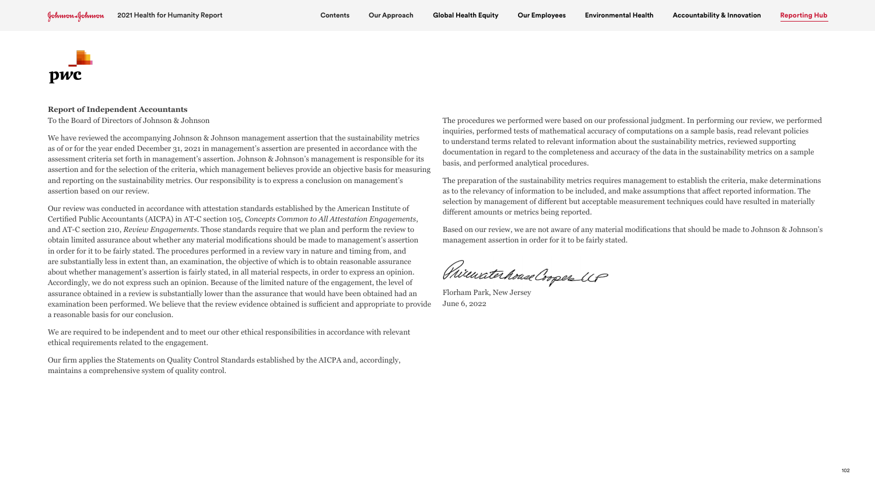## **Report of Independent Accountants**

To the Board of Directors of Johnson & Johnson

We have reviewed the accompanying Johnson & Johnson management assertion that the sustainability metrics as of or for the year ended December 31, 2021 in management's assertion are presented in accordance with the assessment criteria set forth in management's assertion. Johnson & Johnson's management is responsible for its assertion and for the selection of the criteria, which management believes provide an objective basis for measuring and reporting on the sustainability metrics. Our responsibility is to express a conclusion on management's assertion based on our review.

Our review was conducted in accordance with attestation standards established by the American Institute of Certified Public Accountants (AICPA) in AT-C section 105, *Concepts Common to All Attestation Engagements*, and AT-C section 210, *Review Engagements*. Those standards require that we plan and perform the review to obtain limited assurance about whether any material modifications should be made to management's assertion in order for it to be fairly stated. The procedures performed in a review vary in nature and timing from, and are substantially less in extent than, an examination, the objective of which is to obtain reasonable assurance about whether management's assertion is fairly stated, in all material respects, in order to express an opinion. Accordingly, we do not express such an opinion. Because of the limited nature of the engagement, the level of assurance obtained in a review is substantially lower than the assurance that would have been obtained had an examination been performed. We believe that the review evidence obtained is sufficient and appropriate to provide a reasonable basis for our conclusion.

We are required to be independent and to meet our other ethical responsibilities in accordance with relevant ethical requirements related to the engagement.

Our firm applies the Statements on Quality Control Standards established by the AICPA and, accordingly, maintains a comprehensive system of quality control.

The procedures we performed were based on our professional judgment. In performing our review, we performed inquiries, performed tests of mathematical accuracy of computations on a sample basis, read relevant policies to understand terms related to relevant information about the sustainability metrics, reviewed supporting documentation in regard to the completeness and accuracy of the data in the sustainability metrics on a sample basis, and performed analytical procedures.

The preparation of the sustainability metrics requires management to establish the criteria, make determinations as to the relevancy of information to be included, and make assumptions that affect reported information. The selection by management of different but acceptable measurement techniques could have resulted in materially different amounts or metrics being reported.

Based on our review, we are not aware of any material modifications that should be made to Johnson & Johnson's management assertion in order for it to be fairly stated.

Philaratechouse Cooper UP

Florham Park, New Jersey June 6, 2022

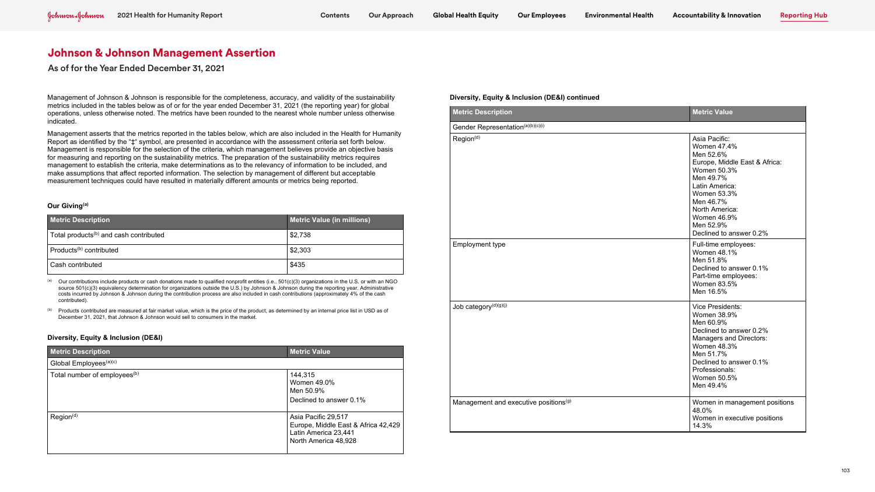Management of Johnson & Johnson is responsible for the completeness, accuracy, and validity of the sustainability metrics included in the tables below as of or for the year ended December 31, 2021 (the reporting year) for global operations, unless otherwise noted. The metrics have been rounded to the nearest whole number unless otherwise indicated.

Management asserts that the metrics reported in the tables below, which are also included in the Health for Humanity Report as identified by the "‡" symbol, are presented in accordance with the assessment criteria set forth below. Management is responsible for the selection of the criteria, which management believes provide an objective basis for measuring and reporting on the sustainability metrics. The preparation of the sustainability metrics requires management to establish the criteria, make determinations as to the relevancy of information to be included, and make assumptions that affect reported information. The selection by management of different but acceptable measurement techniques could have resulted in materially different amounts or metrics being reported.

(a) Our contributions include products or cash donations made to qualified nonprofit entities (i.e.,  $501(c)(3)$  organizations in the U.S. or with an NGO source 501(c)(3) equivalency determination for organizations outside the U.S.) by Johnson & Johnson during the reporting year. Administrative costs incurred by Johnson & Johnson during the contribution process are also included in cash contributions (approximately 4% of the cash contributed).

(b) Products contributed are measured at fair market value, which is the price of the product, as determined by an internal price list in USD as of December 31, 2021, that Johnson & Johnson would sell to consumers in the market.

### **Our Giving(a)**

| <b>Metric Description</b>                          | <b>Metric Value (in millions)</b> |
|----------------------------------------------------|-----------------------------------|
| Total products <sup>(b)</sup> and cash contributed | \$2,738                           |
| Products <sup>(b)</sup> contributed                | \$2,303                           |
| Cash contributed                                   | \$435                             |

# **Diversity, Equity & Inclusion (DE&I)**

| <b>Metric Description</b>                | <b>Metric Value</b>                                                                                        |
|------------------------------------------|------------------------------------------------------------------------------------------------------------|
| Global Employees <sup>(a)(c)</sup>       |                                                                                                            |
| Total number of employees <sup>(b)</sup> | 144,315<br>Women 49.0%<br>Men 50.9%<br>Declined to answer 0.1%                                             |
| Region <sup>(d)</sup>                    | Asia Pacific 29,517<br>Europe, Middle East & Africa 42,429<br>Latin America 23,441<br>North America 48,928 |

### **Diversity, Equity & Inclusion (DE&I) continued**

| <b>Metric Description</b>                         | <b>Metric Value</b>                                                                                                                                                                                                           |
|---------------------------------------------------|-------------------------------------------------------------------------------------------------------------------------------------------------------------------------------------------------------------------------------|
| Gender Representation(a)(b)(c)(i)                 |                                                                                                                                                                                                                               |
| Region <sup>(d)</sup>                             | Asia Pacific:<br>Women 47.4%<br>Men 52.6%<br>Europe, Middle East & Africa:<br>Women 50.3%<br>Men 49.7%<br>Latin America:<br>Women 53.3%<br>Men 46.7%<br>North America:<br>Women 46.9%<br>Men 52.9%<br>Declined to answer 0.2% |
| Employment type                                   | Full-time employees:<br>Women 48.1%<br>Men 51.8%<br>Declined to answer 0.1%<br>Part-time employees:<br>Women 83.5%<br>Men 16.5%                                                                                               |
| Job category <sup>(d)(g)(j)</sup>                 | Vice Presidents:<br>Women 38.9%<br>Men 60.9%<br>Declined to answer 0.2%<br>Managers and Directors:<br><b>Women 48.3%</b><br>Men 51.7%<br>Declined to answer 0.1%<br>Professionals:<br>Women 50.5%<br>Men 49.4%                |
| Management and executive positions <sup>(g)</sup> | Women in management positions<br>48.0%<br>Women in executive positions<br>14.3%                                                                                                                                               |

| Asia Pacific:<br>Women 47.4%<br>Men 52.6%<br>Europe, Middle East & Africa:<br>Women 50.3%<br>Men 49.7%<br>Latin America:<br>Women 53.3%<br>Men 46.7%<br>North America:<br>Women 46.9%<br>Men 52.9%<br>Declined to answer 0.2% |
|-------------------------------------------------------------------------------------------------------------------------------------------------------------------------------------------------------------------------------|
| Full-time employees:<br>Women 48.1%<br>Men 51.8%<br>Declined to answer 0.1%<br>Part-time employees:<br>Women 83.5%<br>Men 16.5%                                                                                               |
| Vice Presidents:<br>Women 38.9%<br>Men 60.9%<br>Declined to answer 0.2%<br>Managers and Directors:<br>Women 48.3%<br>Men 51.7%<br>Declined to answer 0.1%<br>Professionals:<br>Women 50.5%<br>Men 49.4%                       |
| Women in management positions<br>48.0%<br>Women in executive positions<br>14.3%                                                                                                                                               |

As of for the Year Ended December 31, 2021

## **Metric Value**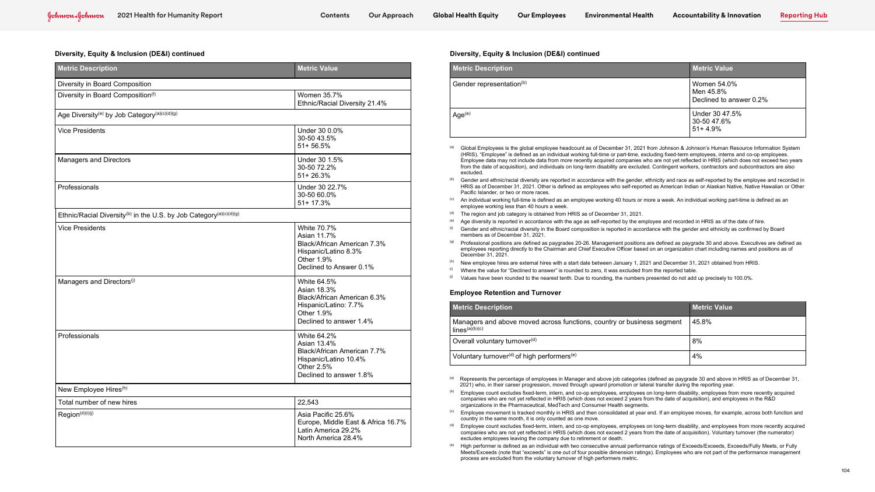- (HRIS). "Employee" is defined as an individual working full-time or part-time, excluding fixed-term employees, interns and co-op employees. Employee data may not include data from more recently acquired companies who are not yet reflected in HRIS (which does not exceed two years Men 46.7% from the date of acquisition), and individuals on long-term disability are excluded. Contingent workers, contractors and subcontractors are also excluded.
- excluded.<br><sup>(b)</sup> Gender and ethnic/racial diversity are reported in accordance with the gender, ethnicity and race as self-reported by the employee and recorded in HRIS as of December 31, 2021. Other is defined as employees who self-reported as American Indian or Alaskan Native, Native Hawaiian or Other<br>Pacific Islander, or two or more races Pacific Islander, or two or more races.
- <sup>(c)</sup> An individual working full-time is defined as an employee working 40 hours or more a week. An individual working part-time is defined as an  $\,$ employee working less than 40 hours a week.
- (d) The region and job category is obtained from HRIS as of December 31, 2021.
- ence region and job category is obtained nonimities as or becember 31, 2021.<br><sup>(e)</sup> Age diversity is reported in accordance with the age as self-reported by the employee and recorded in HRIS as of the date of hire.
- $\sim$  Age uiversity is reported in accordance with the age as sen-reported by the employee and recorded in rinkly as on the date of nife.<br><sup>(f)</sup> Gender and ethnic/racial diversity in the Board composition is reported in acc members as of December 31, 2021.
- <sup>(g)</sup> Professional positions are defined as paygrades 20-26. Management positions are defined as paygrade 30 and above. Executives are defined as employees reporting directly to the Chairman and Chief Executive Officer based on an organization chart including names and positions as of December 31, 2021.
- (h) New employee hires are external hires with a start date between January 1, 2021 and December 31, 2021 obtained from HRIS.
- $^{(i)}$  Where the value for "Declined to answer" is rounded to zero, it was excluded from the reported table.
- $^{(j)}$  Values have been rounded to the nearest tenth. Due to rounding, the numbers presented do not add up precisely to 100.0%.

# Latin America 29.2%

nnson s Human Res<br>.mnlovees\_interns.a

s self-reported

Part employees comme

 $e.$ 

| <b>Metric Description</b>                                                                  | <b>Metric Value</b>                                                                                                         |
|--------------------------------------------------------------------------------------------|-----------------------------------------------------------------------------------------------------------------------------|
| Diversity in Board Composition                                                             |                                                                                                                             |
| Diversity in Board Composition(f)                                                          | Women 35.7%<br>Ethnic/Racial Diversity 21.4%                                                                                |
| Age Diversity <sup>(e)</sup> by Job Category <sup>(a)(c)(d)(g)</sup>                       |                                                                                                                             |
| <b>Vice Presidents</b>                                                                     | Under 30 0.0%<br>30-50 43.5%<br>$51 + 56.5%$                                                                                |
| Managers and Directors                                                                     | Under 30 1.5%<br>30-50 72.2%<br>51+26.3%                                                                                    |
| Professionals                                                                              | Under 30 22.7%<br>30-50 60.0%<br>51+17.3%                                                                                   |
| Ethnic/Racial Diversity <sup>(b)</sup> in the U.S. by Job Category <sup>(a)(c)(d)(g)</sup> |                                                                                                                             |
| <b>Vice Presidents</b>                                                                     | White 70.7%<br>Asian 11.7%<br>Black/African American 7.3%<br>Hispanic/Latino 8.3%<br>Other 1.9%<br>Declined to Answer 0.1%  |
| Managers and Directors <sup>(j)</sup>                                                      | White 64.5%<br>Asian 18.3%<br>Black/African American 6.3%<br>Hispanic/Latino: 7.7%<br>Other 1.9%<br>Declined to answer 1.4% |
| Professionals                                                                              | White 64.2%<br>Asian 13.4%<br>Black/African American 7.7%<br>Hispanic/Latino 10.4%<br>Other 2.5%<br>Declined to answer 1.8% |
| New Employee Hires <sup>(h)</sup>                                                          |                                                                                                                             |
| Total number of new hires                                                                  | 22,543                                                                                                                      |
| Region(d)(i)(j)                                                                            | Asia Pacific 25.6%<br>Europe, Middle East & Africa 16.7%<br>Latin America 29.2%<br>North America 28.4%                      |

<sup>(a)</sup> Represents the percentage of employees in Manager and above job categories (defined as paygrade 30 and above in HRIS as of December 31, Nepresents the percentage or employees in Manager and above job categones (defined as paygrade 50 and above in<br>2021) who, in their career progression, moved through upward promotion or lateral transfer during the reporting

| <b>Metric Description</b>            | <b>Metric Value</b>                                 |
|--------------------------------------|-----------------------------------------------------|
| Gender representation <sup>(b)</sup> | Women 54.0%<br>Men 45.8%<br>Declined to answer 0.2% |
| Age <sup>(e)</sup>                   | Under 30 47.5%<br>30-50 47.6%<br>$51 + 4.9%$        |

- (b) Employee count excludes fixed-term, intern, and co-op employees, employees on long-term disability, employees from more recently acquired organizations in the Pharmaceutical, MedTech and Consumer Health segments. companies who are not yet reflected in HRIS (which does not exceed 2 years from the date of acquisition), and employees in the R&D
- (c) Employee movement is tracked monthly in HRIS and then consolidated at year end. If an employee moves, for example, across both function and country in the same month, it is only counted as one move.
- <sup>(d)</sup> Employee count excludes fixed-term, intern, and co-op employees, employees on long-term disability, and employees from more recently acquired excludes employees leaving the company due to retirement or death.<br>
and the company of the company of the company due to retirement or death. companies who are not yet reflected in HRIS (which does not exceed 2 years from the date of acquisition). Voluntary turnover (the numerator)
- Meets/Exceeds (note that "exceeds" is one out of four possible dimension ratings). Employees who are not part of the performance management<br>process are excluded from the voluntary turnover of high performers metric. (e) High performer is defined as an individual with two consecutive annual performance ratings of Exceeds/Exceeds, Exceeds/Fully Meets, or Fully process are excluded from the voluntary turnover of high performers metric.

# **Diversity, Equity & Inclusion (DE&I) continued**

| <b>Metric Description</b>                                                                     | <b>Metric Value</b> |
|-----------------------------------------------------------------------------------------------|---------------------|
| Managers and above moved across functions, country or business segment<br>$lines^{(a)(b)(c)}$ | 45.8%               |
| Overall voluntary turnover <sup>(d)</sup>                                                     | 8%                  |
| Voluntary turnover <sup>(d)</sup> of high performers <sup>(e)</sup>                           | 4%                  |

905/EXCeeds, E.<br>محمد معدد 15.5%

# Diversity, Equity & Inclusion (DE&I) continued

### **Employee Retention and Turnover**

## **Metric Description**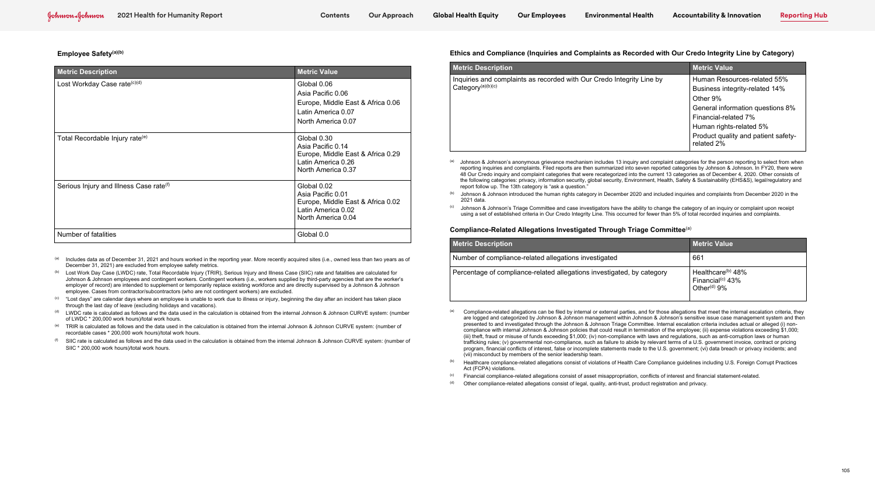### **Employee Safety(a)(b)**

- (a) Includes data as of December 31, 2021 and hours worked in the reporting year. More recently acquired sites (i.e., owned less than two years as of December 31, 2021) are excluded from employee safety metrics.
- (b) Lost Work Day Case (LWDC) rate, Total Recordable Injury (TRIR), Serious Injury and Illness Case (SIIC) rate and fatalities are calculated for Johnson & Johnson employees and contingent workers. Contingent workers (i.e., workers supplied by third-party agencies that are the worker's employer of record) are intended to supplement or temporarily replace existing workforce and are directly supervised by a Johnson & Johnson employee. Cases from contractor/subcontractors (who are not contingent workers) are excluded.
- <sup>(c)</sup> "Lost days" are calendar days where an employee is unable to work due to illness or injury, beginning the day after an incident has taken place through the last day of leave (excluding holidays and vacations).
- (d) LWDC rate is calculated as follows and the data used in the calculation is obtained from the internal Johnson & Johnson CURVE system: (number of LWDC \* 200,000 work hours)/total work hours.
- $^{(e)}$  TRIR is calculated as follows and the data used in the calculation is obtained from the internal Johnson & Johnson CURVE system: (number of recordable cases \* 200,000 work hours)/total work hours.
- $^{(f)}$  SIIC rate is calculated as follows and the data used in the calculation is obtained from the internal Johnson & Johnson CURVE system: (number of SIIC \* 200,000 work hours)/total work hours.

| <b>Metric Description</b>                           | <b>Metric Value</b>                                                                                               |
|-----------------------------------------------------|-------------------------------------------------------------------------------------------------------------------|
| Lost Workday Case rate <sup>(c)(d)</sup>            | Global 0.06<br>Asia Pacific 0.06<br>Europe, Middle East & Africa 0.06<br>Latin America 0.07<br>North America 0.07 |
| Total Recordable Injury rate <sup>(e)</sup>         | Global 0.30<br>Asia Pacific 0.14<br>Europe, Middle East & Africa 0.29<br>Latin America 0.26<br>North America 0.37 |
| Serious Injury and Illness Case rate <sup>(f)</sup> | Global 0.02<br>Asia Pacific 0.01<br>Europe, Middle East & Africa 0.02<br>Latin America 0.02<br>North America 0.04 |
| Number of fatalities                                | Global 0.0                                                                                                        |

|                                                          |                                                                                                                | <b>Global Health Equity</b>          | <b>Our Employees</b>                                       | <b>Environmental Health</b>                                                         | <b>Accountability &amp; Innovation</b>                                                                                                                                                                                                                                                                                                                                                                                                                                                                                                                                                                  | <b>Reporting Hub</b> |
|----------------------------------------------------------|----------------------------------------------------------------------------------------------------------------|--------------------------------------|------------------------------------------------------------|-------------------------------------------------------------------------------------|---------------------------------------------------------------------------------------------------------------------------------------------------------------------------------------------------------------------------------------------------------------------------------------------------------------------------------------------------------------------------------------------------------------------------------------------------------------------------------------------------------------------------------------------------------------------------------------------------------|----------------------|
|                                                          |                                                                                                                |                                      |                                                            |                                                                                     |                                                                                                                                                                                                                                                                                                                                                                                                                                                                                                                                                                                                         |                      |
|                                                          |                                                                                                                |                                      |                                                            |                                                                                     | Ethics and Compliance (Inquiries and Complaints as Recorded with Our Credo Integrity Line by Category)                                                                                                                                                                                                                                                                                                                                                                                                                                                                                                  |                      |
| Value                                                    |                                                                                                                | <b>Metric Description</b>            |                                                            |                                                                                     | <b>Metric Value</b>                                                                                                                                                                                                                                                                                                                                                                                                                                                                                                                                                                                     |                      |
| 0.06<br>cific 0.06<br>nerica 0.07<br>merica 0.07<br>0.30 | , Middle East & Africa 0.06                                                                                    | Category <sup>(a)(b)(c)</sup>        |                                                            | Inquiries and complaints as recorded with Our Credo Integrity Line by               | Human Resources-related 55%<br>Business integrity-related 14%<br>Other 9%<br>General information questions 8%<br>Financial-related 7%<br>Human rights-related 5%<br>Product quality and patient safety-                                                                                                                                                                                                                                                                                                                                                                                                 |                      |
| cific 0.14                                               |                                                                                                                |                                      |                                                            |                                                                                     | related 2%                                                                                                                                                                                                                                                                                                                                                                                                                                                                                                                                                                                              |                      |
| nerica 0.26<br>merica 0.37                               | , Middle East & Africa 0.29                                                                                    | (a)                                  |                                                            |                                                                                     | Johnson & Johnson's anonymous grievance mechanism includes 13 inquiry and complaint categories for the person reporting to select from when<br>reporting inguiries and complaints. Filed reports are then summarized into seven reported categories by Johnson & Johnson. In FY20, there were<br>48 Our Credo inquiry and complaint categories that were recategorized into the current 13 categories as of December 4, 2020. Other consists of<br>the following categories: privacy, information security, global security, Environment, Health, Safety & Sustainability (EHS&S), legal/regulatory and |                      |
| 0.02<br>cific 0.01                                       |                                                                                                                | (b)                                  | report follow up. The 13th category is "ask a question."   |                                                                                     | Johnson & Johnson introduced the human rights category in December 2020 and included inquiries and complaints from December 2020 in the                                                                                                                                                                                                                                                                                                                                                                                                                                                                 |                      |
|                                                          | , Middle East & Africa 0.02                                                                                    | 2021 data.                           |                                                            |                                                                                     |                                                                                                                                                                                                                                                                                                                                                                                                                                                                                                                                                                                                         |                      |
| nerica 0.02<br>merica 0.04                               |                                                                                                                | (c)                                  |                                                            |                                                                                     | Johnson & Johnson's Triage Committee and case investigators have the ability to change the category of an inquiry or complaint upon receipt<br>using a set of established criteria in Our Credo Integrity Line. This occurred for fewer than 5% of total recorded inquiries and complaints.                                                                                                                                                                                                                                                                                                             |                      |
|                                                          |                                                                                                                |                                      |                                                            | Compliance-Related Allegations Investigated Through Triage Committee <sup>(a)</sup> |                                                                                                                                                                                                                                                                                                                                                                                                                                                                                                                                                                                                         |                      |
|                                                          |                                                                                                                | <b>Metric Description</b>            |                                                            |                                                                                     | <b>Metric Value</b>                                                                                                                                                                                                                                                                                                                                                                                                                                                                                                                                                                                     |                      |
|                                                          |                                                                                                                |                                      |                                                            |                                                                                     |                                                                                                                                                                                                                                                                                                                                                                                                                                                                                                                                                                                                         |                      |
|                                                          | (i.e., owned less than two years as of                                                                         |                                      | Number of compliance-related allegations investigated      |                                                                                     | 661                                                                                                                                                                                                                                                                                                                                                                                                                                                                                                                                                                                                     |                      |
|                                                          | e and fatalities are calculated for<br>party agencies that are the worker's<br>pervised by a Johnson & Johnson |                                      |                                                            | Percentage of compliance-related allegations investigated, by category              | Healthcare <sup>(b)</sup> 48%<br>Financial <sup>(c)</sup> $43%$<br>Other <sup>(d)</sup> 9%                                                                                                                                                                                                                                                                                                                                                                                                                                                                                                              |                      |
|                                                          | y after an incident has taken place                                                                            |                                      |                                                            |                                                                                     |                                                                                                                                                                                                                                                                                                                                                                                                                                                                                                                                                                                                         |                      |
|                                                          | 8 Johnson CURVE system: (number                                                                                |                                      |                                                            |                                                                                     | Compliance-related allegations can be filed by internal or external parties, and for those allegations that meet the internal escalation criteria, they<br>are logged and categorized by Johnson & Johnson management within Johnson & Johnson's sensitive issue case management system and then                                                                                                                                                                                                                                                                                                        |                      |
|                                                          | nnson CURVE system: (number of                                                                                 |                                      |                                                            |                                                                                     | presented to and investigated through the Johnson & Johnson Triage Committee. Internal escalation criteria includes actual or alleged (i) non-<br>compliance with internal Johnson & Johnson policies that could result in termination of the employee; (ii) expense violations exceeding \$1,000;                                                                                                                                                                                                                                                                                                      |                      |
|                                                          | Johnson CURVE system: (number of                                                                               |                                      | (vii) misconduct by members of the senior leadership team. |                                                                                     | (iii) theft, fraud or misuse of funds exceeding \$1,000; (iv) non-compliance with laws and regulations, such as anti-corruption laws or human<br>trafficking rules; (v) governmental non-compliance, such as failure to abide by relevant terms of a U.S. government invoice, contract or pricing<br>program, financial conflicts of interest, false or incomplete statements made to the U.S. government; (vi) data breach or privacy incidents; and                                                                                                                                                   |                      |
|                                                          |                                                                                                                | (b)                                  |                                                            |                                                                                     | Healthcare compliance-related allegations consist of violations of Health Care Compliance guidelines including U.S. Foreign Corrupt Practices                                                                                                                                                                                                                                                                                                                                                                                                                                                           |                      |
|                                                          |                                                                                                                | Act (FCPA) violations.<br>(c)<br>(d) |                                                            |                                                                                     | Financial compliance-related allegations consist of asset misappropriation, conflicts of interest and financial statement-related.                                                                                                                                                                                                                                                                                                                                                                                                                                                                      |                      |

- (a) Compliance-related allegations can be filed by internal or external parties, and for those allegations that meet the internal escalation criteria, they are logged and categorized by Johnson & Johnson management within Johnson & Johnson's sensitive issue case management system and then presented to and investigated through the Johnson & Johnson Triage Committee. Internal escalation criteria includes actual or alleged (i) noncompliance with internal Johnson & Johnson policies that could result in termination of the employee; (ii) expense violations exceeding \$1,000; (iii) theft, fraud or misuse of funds exceeding \$1,000; (iv) non-compliance with laws and regulations, such as anti-corruption laws or human trafficking rules; (v) governmental non-compliance, such as failure to abide by relevant terms of a U.S. government invoice, contract or pricing program, financial conflicts of interest, false or incomplete statements made to the U.S. government; (vi) data breach or privacy incidents; and (vii) misconduct by members of the senior leadership team.
- (b) Healthcare compliance-related allegations consist of violations of Health Care Compliance guidelines including U.S. Foreign Corrupt Practices Act (FCPA) violations.
- (c) Financial compliance-related allegations consist of asset misappropriation, conflicts of interest and financial statement-related.
- (d) Other compliance-related allegations consist of legal, quality, anti-trust, product registration and privacy.

**Employee Safety continued**

# **Ethics and Compliance (Inquiries and Complaints as Recorded with Our Credo Integrity Line by Category)**

| <b>Metric Value</b>                                                                                                                                              |
|------------------------------------------------------------------------------------------------------------------------------------------------------------------|
| Human Resources-related 55%<br>Business integrity-related 14%<br>Other 9%<br>General information questions 8%<br>Financial-related 7%<br>Human rights-related 5% |
| Product quality and patient safety-<br>related 2%                                                                                                                |

- (b) Johnson & Johnson introduced the human rights category in December 2020 and included inquiries and complaints from December 2020 in the 2021 data.
- (c) Johnson & Johnson's Triage Committee and case investigators have the ability to change the category of an inquiry or complaint upon receipt using a set of established criteria in Our Credo Integrity Line. This occurred for fewer than 5% of total recorded inquiries and complaints.

### **Compliance-Related Allegations Investigated Through Triage Committee**(a)

### **Metric Description**

| <b>Metric Value</b>                                                                        |
|--------------------------------------------------------------------------------------------|
| 661                                                                                        |
| Healthcare <sup>(b)</sup> 48%<br>Financial <sup>(c)</sup> $43%$<br>Other <sup>(d)</sup> 9% |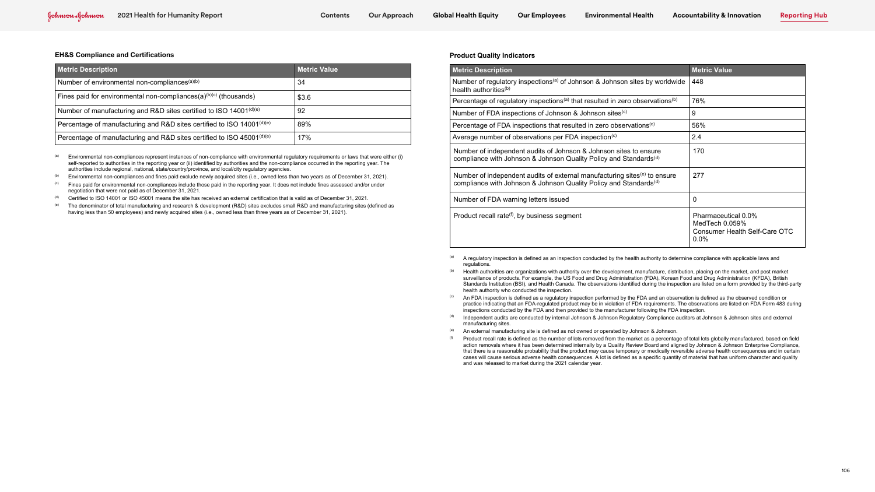(a) Environmental non-compliances represent instances of non-compliance with environmental regulatory requirements or laws that were either (i) self-reported to authorities in the reporting year or (ii) identified by authorities and the non-compliance occurred in the reporting year. The authorities include regional, national, state/country/province, and local/city regulatory agencies.

 $(b)$  Environmental non-compliances and fines paid exclude newly acquired sites (i.e., owned less than two years as of December 31, 2021).

<sup>(c)</sup> Fines paid for environmental non-compliances include those paid in the reporting year. It does not include fines assessed and/or under negotiation that were not paid as of December 31, 2021.

 $\frac{d}{dt}$  Certified to ISO 14001 or ISO 45001 means the site has received an external certification that is valid as of December 31, 2021.

 $(e)$  The denominator of total manufacturing and research & development (R&D) sites excludes small R&D and manufacturing sites (defined as having less than 50 employees) and newly acquired sites (i.e., owned less than three years as of December 31, 2021).

#### **EH&S Compliance and Certifications**

| <b>Metric Description</b>                                                         | <b>Metric Value</b> |
|-----------------------------------------------------------------------------------|---------------------|
| Number of environmental non-compliances <sup>(a)(b)</sup>                         | 34                  |
| Fines paid for environmental non-compliances( $a$ ) <sup>(b)(c)</sup> (thousands) | \$3.6               |
| Number of manufacturing and R&D sites certified to ISO 14001(d)(e)                | 92                  |
| Percentage of manufacturing and R&D sites certified to ISO 14001(d)(e)            | 89%                 |
| Percentage of manufacturing and R&D sites certified to ISO 45001(d)(e)            | 17%                 |

Number of independent audits of Johnson & Johnson sites to ensure compliance with Johnson & Johnson Quality Policy and Standards<sup>(d)</sup>

Number of independent audits of external manufacturing sites<sup>(e)</sup> to ensure compliance with Johnson & Johnson Quality Policy and Standards<sup>(d)</sup>

- (a) A regulatory inspection is defined as an inspection conducted by the health authority to determine compliance with applicable laws and regulations.
- (b) Health authorities are organizations with authority over the development, manufacture, distribution, placing on the market, and post market surveillance of products. For example, the US Food and Drug Administration (FDA), Korean Food and Drug Administration (KFDA), British Standards Institution (BSI), and Health Canada. The observations identified during the inspection are listed on a form provided by the third-party health authority who conducted the inspection.
- <sup>(c)</sup> An FDA inspection is defined as a regulatory inspection performed by the FDA and an observation is defined as the observed condition or practice indicating that an FDA-regulated product may be in violation of FDA requirements. The observations are listed on FDA Form 483 during inspections conducted by the FDA and then provided to the manufacturer following the FDA inspection.
- (d) Independent audits are conducted by internal Johnson & Johnson Regulatory Compliance auditors at Johnson & Johnson sites and external manufacturing sites.
- $($ <sup>e)</sup> An external manufacturing site is defined as not owned or operated by Johnson & Johnson.
- $<sup>(f)</sup>$  Product recall rate is defined as the number of lots removed from the market as a percentage of total lots globally manufactured, based on field</sup> action removals where it has been determined internally by a Quality Review Board and aligned by Johnson & Johnson Enterprise Compliance, that there is a reasonable probability that the product may cause temporary or medically reversible adverse health consequences and in certain cases will cause serious adverse health consequences. A lot is defined as a specific quantity of material that has uniform character and quality and was released to market during the 2021 calendar year.

### **Product Quality Indicators**

| <b>Metric Description</b>                                                                                                    | <b>Metric Value</b> |
|------------------------------------------------------------------------------------------------------------------------------|---------------------|
| Number of regulatory inspections <sup>(a)</sup> of Johnson & Johnson sites by worldwide<br>health authorities <sup>(b)</sup> | 448                 |
| Percentage of regulatory inspections <sup>(a)</sup> that resulted in zero observations <sup>(b)</sup>                        | 76%                 |
| Number of FDA inspections of Johnson & Johnson sites <sup>(c)</sup>                                                          | 9                   |
| Percentage of FDA inspections that resulted in zero observations <sup>(c)</sup>                                              | 56%                 |

Average number of observations per FDA inspection<sup>(c)</sup>

|   | <b>Metric Value</b>                                                               |
|---|-----------------------------------------------------------------------------------|
| J | 448                                                                               |
|   | 76%                                                                               |
|   | 9                                                                                 |
|   | 56%                                                                               |
|   | 2.4                                                                               |
|   | 170                                                                               |
|   | 277                                                                               |
|   | 0                                                                                 |
|   | Pharmaceutical 0.0%<br>MedTech 0.059%<br>Consumer Health Self-Care OTC<br>$0.0\%$ |

Number of FDA warning letters issued 0

Product recall rate $(f)$ , by business segment